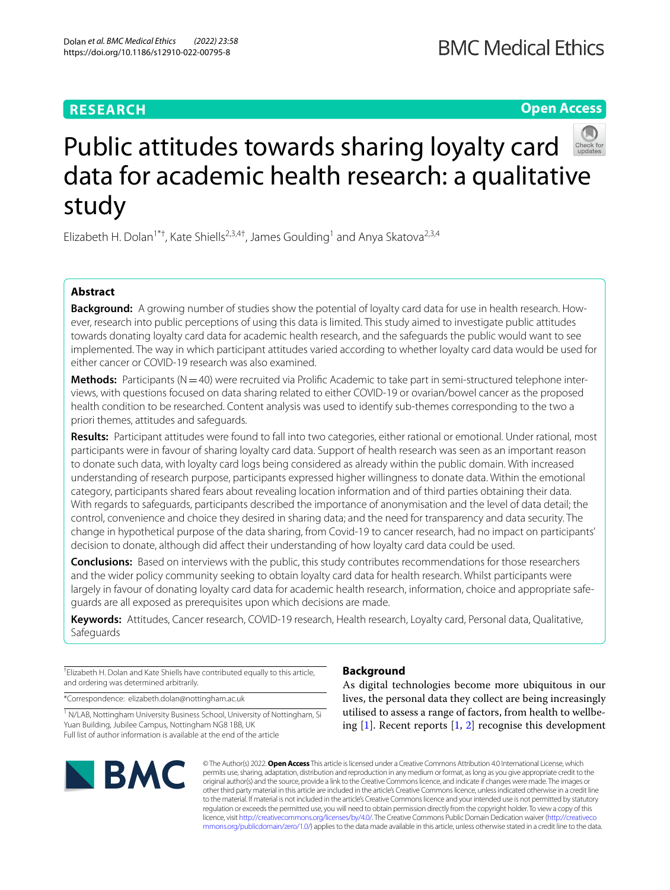# **RESEARCH**

**Open Access**



# Public attitudes towards sharing loyalty card data for academic health research: a qualitative study

Elizabeth H. Dolan<sup>1\*†</sup>, Kate Shiells<sup>2,3,4†</sup>, James Goulding<sup>1</sup> and Anya Skatova<sup>2,3,4</sup>

# **Abstract**

**Background:** A growing number of studies show the potential of loyalty card data for use in health research. However, research into public perceptions of using this data is limited. This study aimed to investigate public attitudes towards donating loyalty card data for academic health research, and the safeguards the public would want to see implemented. The way in which participant attitudes varied according to whether loyalty card data would be used for either cancer or COVID-19 research was also examined.

Methods: Participants (N=40) were recruited via Prolific Academic to take part in semi-structured telephone interviews, with questions focused on data sharing related to either COVID-19 or ovarian/bowel cancer as the proposed health condition to be researched. Content analysis was used to identify sub-themes corresponding to the two a priori themes, attitudes and safeguards.

**Results:** Participant attitudes were found to fall into two categories, either rational or emotional. Under rational*,* most participants were in favour of sharing loyalty card data. Support of health research was seen as an important reason to donate such data, with loyalty card logs being considered as already within the public domain. With increased understanding of research purpose, participants expressed higher willingness to donate data. Within the emotional category, participants shared fears about revealing location information and of third parties obtaining their data. With regards to safeguards, participants described the importance of anonymisation and the level of data detail; the control, convenience and choice they desired in sharing data; and the need for transparency and data security. The change in hypothetical purpose of the data sharing, from Covid-19 to cancer research, had no impact on participants' decision to donate, although did afect their understanding of how loyalty card data could be used.

**Conclusions:** Based on interviews with the public, this study contributes recommendations for those researchers and the wider policy community seeking to obtain loyalty card data for health research. Whilst participants were largely in favour of donating loyalty card data for academic health research, information, choice and appropriate safeguards are all exposed as prerequisites upon which decisions are made.

**Keywords:** Attitudes, Cancer research, COVID-19 research, Health research, Loyalty card, Personal data, Qualitative, Safeguards

† Elizabeth H. Dolan and Kate Shiells have contributed equally to this article, and ordering was determined arbitrarily.

\*Correspondence: elizabeth.dolan@nottingham.ac.uk

<sup>1</sup> N/LAB, Nottingham University Business School, University of Nottingham, Si Yuan Building, Jubilee Campus, Nottingham NG8 1BB, UK Full list of author information is available at the end of the article



# **Background**

As digital technologies become more ubiquitous in our lives, the personal data they collect are being increasingly utilised to assess a range of factors, from health to wellbeing  $[1]$  $[1]$ . Recent reports  $[1, 2]$  $[1, 2]$  $[1, 2]$  $[1, 2]$  recognise this development

© The Author(s) 2022. **Open Access** This article is licensed under a Creative Commons Attribution 4.0 International License, which permits use, sharing, adaptation, distribution and reproduction in any medium or format, as long as you give appropriate credit to the original author(s) and the source, provide a link to the Creative Commons licence, and indicate if changes were made. The images or other third party material in this article are included in the article's Creative Commons licence, unless indicated otherwise in a credit line to the material. If material is not included in the article's Creative Commons licence and your intended use is not permitted by statutory regulation or exceeds the permitted use, you will need to obtain permission directly from the copyright holder. To view a copy of this licence, visit [http://creativecommons.org/licenses/by/4.0/.](http://creativecommons.org/licenses/by/4.0/) The Creative Commons Public Domain Dedication waiver ([http://creativeco](http://creativecommons.org/publicdomain/zero/1.0/) [mmons.org/publicdomain/zero/1.0/](http://creativecommons.org/publicdomain/zero/1.0/)) applies to the data made available in this article, unless otherwise stated in a credit line to the data.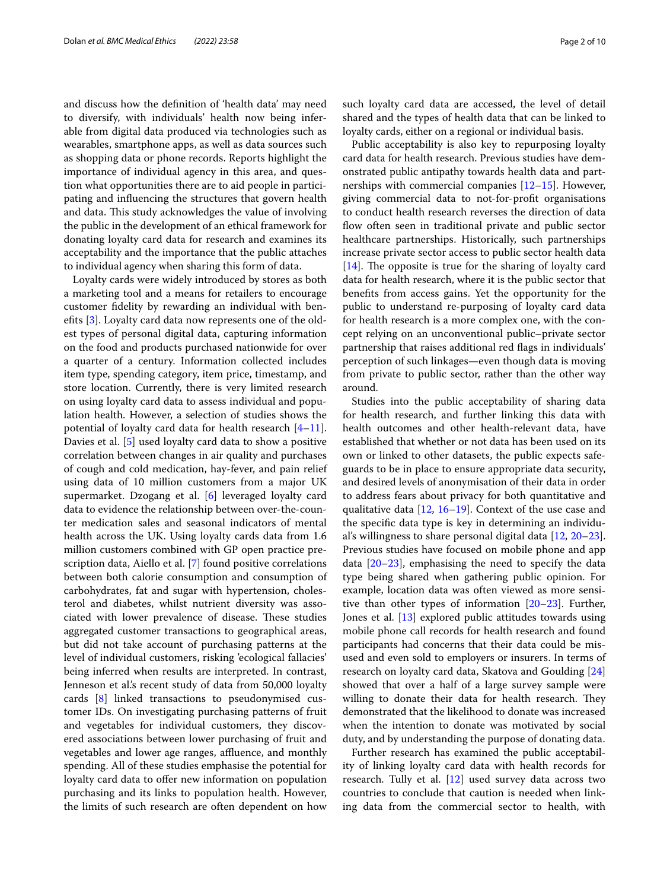and discuss how the defnition of 'health data' may need to diversify, with individuals' health now being inferable from digital data produced via technologies such as wearables, smartphone apps, as well as data sources such as shopping data or phone records. Reports highlight the importance of individual agency in this area, and question what opportunities there are to aid people in participating and infuencing the structures that govern health and data. This study acknowledges the value of involving the public in the development of an ethical framework for donating loyalty card data for research and examines its acceptability and the importance that the public attaches to individual agency when sharing this form of data.

Loyalty cards were widely introduced by stores as both a marketing tool and a means for retailers to encourage customer fdelity by rewarding an individual with benefts [\[3](#page-8-2)]. Loyalty card data now represents one of the oldest types of personal digital data, capturing information on the food and products purchased nationwide for over a quarter of a century. Information collected includes item type, spending category, item price, timestamp, and store location. Currently, there is very limited research on using loyalty card data to assess individual and population health. However, a selection of studies shows the potential of loyalty card data for health research [\[4](#page-8-3)[–11](#page-9-0)]. Davies et al. [\[5](#page-8-4)] used loyalty card data to show a positive correlation between changes in air quality and purchases of cough and cold medication, hay-fever, and pain relief using data of 10 million customers from a major UK supermarket. Dzogang et al. [\[6](#page-8-5)] leveraged loyalty card data to evidence the relationship between over-the-counter medication sales and seasonal indicators of mental health across the UK. Using loyalty cards data from 1.6 million customers combined with GP open practice prescription data, Aiello et al. [\[7](#page-8-6)] found positive correlations between both calorie consumption and consumption of carbohydrates, fat and sugar with hypertension, cholesterol and diabetes, whilst nutrient diversity was associated with lower prevalence of disease. These studies aggregated customer transactions to geographical areas, but did not take account of purchasing patterns at the level of individual customers, risking 'ecological fallacies' being inferred when results are interpreted. In contrast, Jenneson et al.'s recent study of data from 50,000 loyalty cards [[8\]](#page-8-7) linked transactions to pseudonymised customer IDs. On investigating purchasing patterns of fruit and vegetables for individual customers, they discovered associations between lower purchasing of fruit and vegetables and lower age ranges, affluence, and monthly spending. All of these studies emphasise the potential for loyalty card data to offer new information on population purchasing and its links to population health. However, the limits of such research are often dependent on how such loyalty card data are accessed, the level of detail shared and the types of health data that can be linked to loyalty cards, either on a regional or individual basis.

Public acceptability is also key to repurposing loyalty card data for health research. Previous studies have demonstrated public antipathy towards health data and partnerships with commercial companies  $[12-15]$  $[12-15]$  $[12-15]$ . However, giving commercial data to not-for-proft organisations to conduct health research reverses the direction of data flow often seen in traditional private and public sector healthcare partnerships. Historically, such partnerships increase private sector access to public sector health data  $[14]$  $[14]$ . The opposite is true for the sharing of loyalty card data for health research, where it is the public sector that benefts from access gains. Yet the opportunity for the public to understand re-purposing of loyalty card data for health research is a more complex one, with the concept relying on an unconventional public–private sector partnership that raises additional red fags in individuals' perception of such linkages—even though data is moving from private to public sector, rather than the other way around.

Studies into the public acceptability of sharing data for health research, and further linking this data with health outcomes and other health-relevant data, have established that whether or not data has been used on its own or linked to other datasets, the public expects safeguards to be in place to ensure appropriate data security, and desired levels of anonymisation of their data in order to address fears about privacy for both quantitative and qualitative data [\[12](#page-9-1), [16](#page-9-4)[–19\]](#page-9-5). Context of the use case and the specifc data type is key in determining an individual's willingness to share personal digital data [[12,](#page-9-1) [20](#page-9-6)[–23](#page-9-7)]. Previous studies have focused on mobile phone and app data [\[20](#page-9-6)[–23\]](#page-9-7), emphasising the need to specify the data type being shared when gathering public opinion. For example, location data was often viewed as more sensitive than other types of information [\[20](#page-9-6)[–23\]](#page-9-7). Further, Jones et al. [\[13](#page-9-8)] explored public attitudes towards using mobile phone call records for health research and found participants had concerns that their data could be misused and even sold to employers or insurers. In terms of research on loyalty card data, Skatova and Goulding [[24](#page-9-9)] showed that over a half of a large survey sample were willing to donate their data for health research. They demonstrated that the likelihood to donate was increased when the intention to donate was motivated by social duty, and by understanding the purpose of donating data.

Further research has examined the public acceptability of linking loyalty card data with health records for research. Tully et al. [[12](#page-9-1)] used survey data across two countries to conclude that caution is needed when linking data from the commercial sector to health, with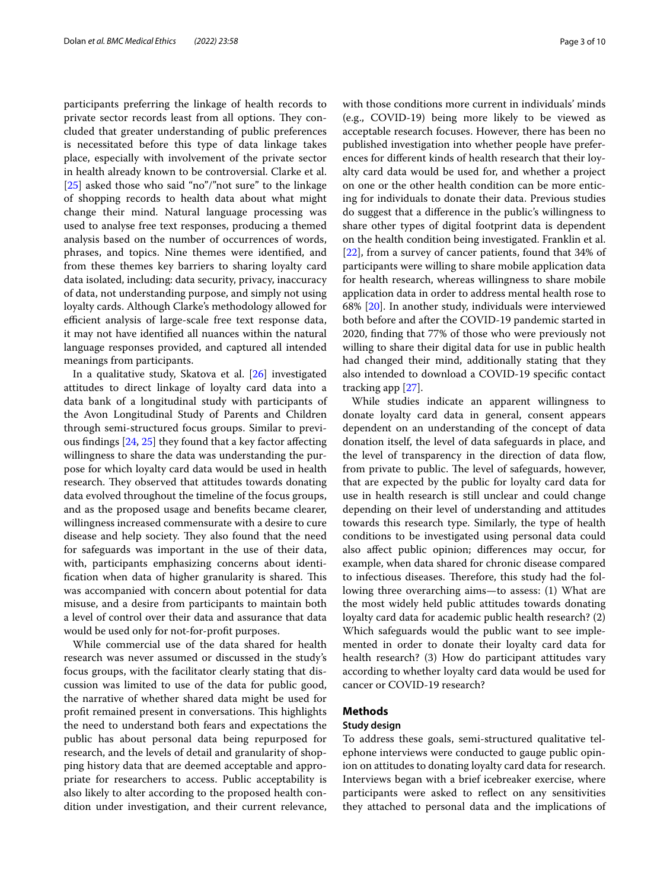participants preferring the linkage of health records to private sector records least from all options. They concluded that greater understanding of public preferences is necessitated before this type of data linkage takes place, especially with involvement of the private sector in health already known to be controversial. Clarke et al. [[25\]](#page-9-10) asked those who said "no"/"not sure" to the linkage of shopping records to health data about what might change their mind. Natural language processing was used to analyse free text responses, producing a themed analysis based on the number of occurrences of words, phrases, and topics. Nine themes were identifed, and from these themes key barriers to sharing loyalty card data isolated, including: data security, privacy, inaccuracy of data, not understanding purpose, and simply not using loyalty cards. Although Clarke's methodology allowed for efficient analysis of large-scale free text response data, it may not have identifed all nuances within the natural language responses provided, and captured all intended meanings from participants.

In a qualitative study, Skatova et al. [[26](#page-9-11)] investigated attitudes to direct linkage of loyalty card data into a data bank of a longitudinal study with participants of the Avon Longitudinal Study of Parents and Children through semi-structured focus groups. Similar to previous fndings [[24](#page-9-9), [25\]](#page-9-10) they found that a key factor afecting willingness to share the data was understanding the purpose for which loyalty card data would be used in health research. They observed that attitudes towards donating data evolved throughout the timeline of the focus groups, and as the proposed usage and benefts became clearer, willingness increased commensurate with a desire to cure disease and help society. They also found that the need for safeguards was important in the use of their data, with, participants emphasizing concerns about identification when data of higher granularity is shared. This was accompanied with concern about potential for data misuse, and a desire from participants to maintain both a level of control over their data and assurance that data would be used only for not-for-proft purposes.

While commercial use of the data shared for health research was never assumed or discussed in the study's focus groups, with the facilitator clearly stating that discussion was limited to use of the data for public good, the narrative of whether shared data might be used for profit remained present in conversations. This highlights the need to understand both fears and expectations the public has about personal data being repurposed for research, and the levels of detail and granularity of shopping history data that are deemed acceptable and appropriate for researchers to access. Public acceptability is also likely to alter according to the proposed health condition under investigation, and their current relevance, with those conditions more current in individuals' minds (e.g., COVID-19) being more likely to be viewed as acceptable research focuses. However, there has been no published investigation into whether people have preferences for diferent kinds of health research that their loyalty card data would be used for, and whether a project on one or the other health condition can be more enticing for individuals to donate their data. Previous studies do suggest that a diference in the public's willingness to share other types of digital footprint data is dependent on the health condition being investigated. Franklin et al. [[22\]](#page-9-12), from a survey of cancer patients, found that 34% of participants were willing to share mobile application data for health research, whereas willingness to share mobile application data in order to address mental health rose to 68% [[20\]](#page-9-6). In another study, individuals were interviewed both before and after the COVID-19 pandemic started in 2020, fnding that 77% of those who were previously not willing to share their digital data for use in public health had changed their mind, additionally stating that they also intended to download a COVID-19 specifc contact tracking app [\[27\]](#page-9-13).

While studies indicate an apparent willingness to donate loyalty card data in general, consent appears dependent on an understanding of the concept of data donation itself, the level of data safeguards in place, and the level of transparency in the direction of data flow, from private to public. The level of safeguards, however, that are expected by the public for loyalty card data for use in health research is still unclear and could change depending on their level of understanding and attitudes towards this research type. Similarly, the type of health conditions to be investigated using personal data could also afect public opinion; diferences may occur, for example, when data shared for chronic disease compared to infectious diseases. Therefore, this study had the following three overarching aims—to assess: (1) What are the most widely held public attitudes towards donating loyalty card data for academic public health research? (2) Which safeguards would the public want to see implemented in order to donate their loyalty card data for health research? (3) How do participant attitudes vary according to whether loyalty card data would be used for cancer or COVID-19 research?

## **Methods**

#### **Study design**

To address these goals, semi-structured qualitative telephone interviews were conducted to gauge public opinion on attitudes to donating loyalty card data for research. Interviews began with a brief icebreaker exercise, where participants were asked to refect on any sensitivities they attached to personal data and the implications of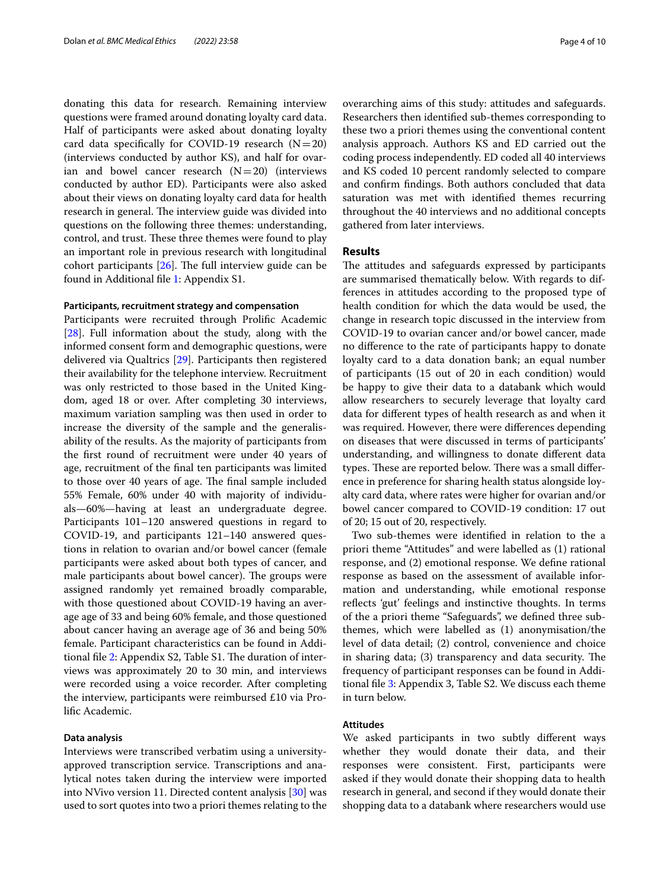donating this data for research. Remaining interview questions were framed around donating loyalty card data. Half of participants were asked about donating loyalty card data specifically for COVID-19 research  $(N=20)$ (interviews conducted by author KS), and half for ovarian and bowel cancer research  $(N=20)$  (interviews conducted by author ED). Participants were also asked about their views on donating loyalty card data for health research in general. The interview guide was divided into questions on the following three themes: understanding, control, and trust. These three themes were found to play an important role in previous research with longitudinal cohort participants  $[26]$  $[26]$ . The full interview guide can be found in Additional fle [1:](#page-8-8) Appendix S1.

## **Participants, recruitment strategy and compensation**

Participants were recruited through Prolifc Academic [[28\]](#page-9-14). Full information about the study, along with the informed consent form and demographic questions, were delivered via Qualtrics [\[29\]](#page-9-15). Participants then registered their availability for the telephone interview. Recruitment was only restricted to those based in the United Kingdom, aged 18 or over. After completing 30 interviews, maximum variation sampling was then used in order to increase the diversity of the sample and the generalisability of the results. As the majority of participants from the frst round of recruitment were under 40 years of age, recruitment of the fnal ten participants was limited to those over 40 years of age. The final sample included 55% Female, 60% under 40 with majority of individuals—60%—having at least an undergraduate degree. Participants 101–120 answered questions in regard to COVID-19, and participants 121–140 answered questions in relation to ovarian and/or bowel cancer (female participants were asked about both types of cancer, and male participants about bowel cancer). The groups were assigned randomly yet remained broadly comparable, with those questioned about COVID-19 having an average age of 33 and being 60% female, and those questioned about cancer having an average age of 36 and being 50% female. Participant characteristics can be found in Addi-tional file [2](#page-8-9): Appendix S2, Table S1. The duration of interviews was approximately 20 to 30 min, and interviews were recorded using a voice recorder. After completing the interview, participants were reimbursed £10 via Prolifc Academic.

## **Data analysis**

Interviews were transcribed verbatim using a universityapproved transcription service. Transcriptions and analytical notes taken during the interview were imported into NVivo version 11. Directed content analysis [[30\]](#page-9-16) was used to sort quotes into two a priori themes relating to the overarching aims of this study: attitudes and safeguards. Researchers then identifed sub-themes corresponding to these two a priori themes using the conventional content analysis approach. Authors KS and ED carried out the coding process independently. ED coded all 40 interviews and KS coded 10 percent randomly selected to compare and confrm fndings. Both authors concluded that data saturation was met with identifed themes recurring throughout the 40 interviews and no additional concepts gathered from later interviews.

## **Results**

The attitudes and safeguards expressed by participants are summarised thematically below. With regards to differences in attitudes according to the proposed type of health condition for which the data would be used, the change in research topic discussed in the interview from COVID-19 to ovarian cancer and/or bowel cancer, made no diference to the rate of participants happy to donate loyalty card to a data donation bank; an equal number of participants (15 out of 20 in each condition) would be happy to give their data to a databank which would allow researchers to securely leverage that loyalty card data for diferent types of health research as and when it was required. However, there were diferences depending on diseases that were discussed in terms of participants' understanding, and willingness to donate diferent data types. These are reported below. There was a small difference in preference for sharing health status alongside loyalty card data, where rates were higher for ovarian and/or bowel cancer compared to COVID-19 condition: 17 out of 20; 15 out of 20, respectively.

Two sub-themes were identifed in relation to the a priori theme "Attitudes" and were labelled as (1) rational response, and (2) emotional response. We defne rational response as based on the assessment of available information and understanding, while emotional response refects 'gut' feelings and instinctive thoughts. In terms of the a priori theme "Safeguards", we defned three subthemes, which were labelled as (1) anonymisation/the level of data detail; (2) control, convenience and choice in sharing data; (3) transparency and data security. The frequency of participant responses can be found in Additional fle [3:](#page-8-10) Appendix 3, Table S2. We discuss each theme in turn below.

## **Attitudes**

We asked participants in two subtly diferent ways whether they would donate their data, and their responses were consistent. First, participants were asked if they would donate their shopping data to health research in general, and second if they would donate their shopping data to a databank where researchers would use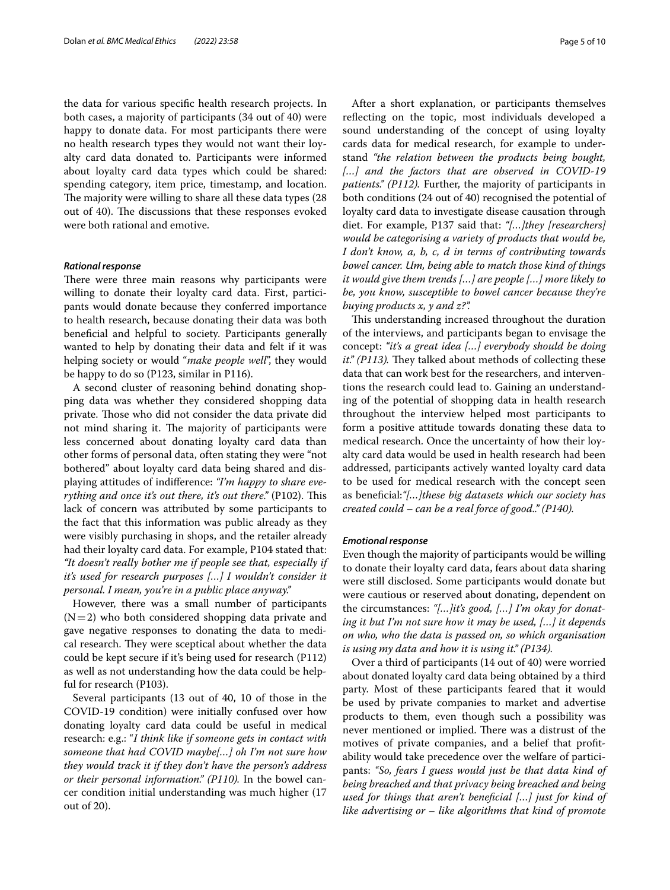the data for various specifc health research projects. In both cases, a majority of participants (34 out of 40) were happy to donate data. For most participants there were no health research types they would not want their loyalty card data donated to. Participants were informed about loyalty card data types which could be shared: spending category, item price, timestamp, and location. The majority were willing to share all these data types (28) out of 40). The discussions that these responses evoked were both rational and emotive.

## *Rational response*

There were three main reasons why participants were willing to donate their loyalty card data. First, participants would donate because they conferred importance to health research, because donating their data was both benefcial and helpful to society. Participants generally wanted to help by donating their data and felt if it was helping society or would "*make people well*", they would be happy to do so (P123, similar in P116).

A second cluster of reasoning behind donating shopping data was whether they considered shopping data private. Those who did not consider the data private did not mind sharing it. The majority of participants were less concerned about donating loyalty card data than other forms of personal data, often stating they were "not bothered" about loyalty card data being shared and displaying attitudes of indiference: *"I'm happy to share everything and once it's out there, it's out there.*" (P102). This lack of concern was attributed by some participants to the fact that this information was public already as they were visibly purchasing in shops, and the retailer already had their loyalty card data. For example, P104 stated that: *"It doesn't really bother me if people see that, especially if it's used for research purposes […] I wouldn't consider it personal. I mean, you're in a public place anyway."*

However, there was a small number of participants  $(N=2)$  who both considered shopping data private and gave negative responses to donating the data to medical research. They were sceptical about whether the data could be kept secure if it's being used for research (P112) as well as not understanding how the data could be helpful for research (P103).

Several participants (13 out of 40, 10 of those in the COVID-19 condition) were initially confused over how donating loyalty card data could be useful in medical research: e.g.: "*I think like if someone gets in contact with someone that had COVID maybe[…] oh I'm not sure how they would track it if they don't have the person's address or their personal information." (P110).* In the bowel cancer condition initial understanding was much higher (17 out of 20).

After a short explanation, or participants themselves refecting on the topic, most individuals developed a sound understanding of the concept of using loyalty cards data for medical research, for example to understand *"the relation between the products being bought, […] and the factors that are observed in COVID-19 patients." (P112).* Further, the majority of participants in both conditions (24 out of 40) recognised the potential of loyalty card data to investigate disease causation through diet. For example, P137 said that: *"[…]they [researchers] would be categorising a variety of products that would be, I don't know, a, b, c, d in terms of contributing towards bowel cancer. Um, being able to match those kind of things it would give them trends […] are people […] more likely to be, you know, susceptible to bowel cancer because they're buying products x, y and z?".*

This understanding increased throughout the duration of the interviews, and participants began to envisage the concept: *"it's a great idea […] everybody should be doing it." (P113)*. They talked about methods of collecting these data that can work best for the researchers, and interventions the research could lead to. Gaining an understanding of the potential of shopping data in health research throughout the interview helped most participants to form a positive attitude towards donating these data to medical research. Once the uncertainty of how their loyalty card data would be used in health research had been addressed, participants actively wanted loyalty card data to be used for medical research with the concept seen as benefcial:*"[…]these big datasets which our society has created could – can be a real force of good.." (P140).*

## *Emotional response*

Even though the majority of participants would be willing to donate their loyalty card data, fears about data sharing were still disclosed. Some participants would donate but were cautious or reserved about donating, dependent on the circumstances: *"[…]it's good, […] I'm okay for donating it but I'm not sure how it may be used, […] it depends on who, who the data is passed on, so which organisation is using my data and how it is using it." (P134).*

Over a third of participants (14 out of 40) were worried about donated loyalty card data being obtained by a third party. Most of these participants feared that it would be used by private companies to market and advertise products to them, even though such a possibility was never mentioned or implied. There was a distrust of the motives of private companies, and a belief that proftability would take precedence over the welfare of participants: *"So, fears I guess would just be that data kind of being breached and that privacy being breached and being used for things that aren't benefcial […] just for kind of like advertising or – like algorithms that kind of promote*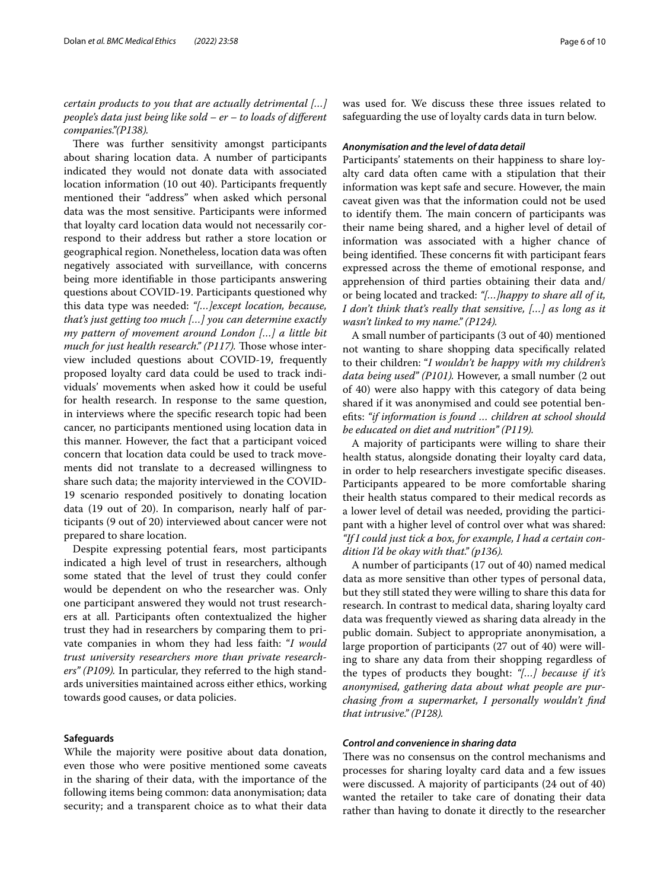## *certain products to you that are actually detrimental […] people's data just being like sold – er – to loads of diferent companies."(P138).*

There was further sensitivity amongst participants about sharing location data. A number of participants indicated they would not donate data with associated location information (10 out 40). Participants frequently mentioned their "address" when asked which personal data was the most sensitive. Participants were informed that loyalty card location data would not necessarily correspond to their address but rather a store location or geographical region. Nonetheless, location data was often negatively associated with surveillance, with concerns being more identifable in those participants answering questions about COVID-19. Participants questioned why this data type was needed: *"[…]except location, because, that's just getting too much […] you can determine exactly my pattern of movement around London […] a little bit much for just health research." (P117).* Those whose interview included questions about COVID-19, frequently proposed loyalty card data could be used to track individuals' movements when asked how it could be useful for health research. In response to the same question, in interviews where the specifc research topic had been cancer, no participants mentioned using location data in this manner. However, the fact that a participant voiced concern that location data could be used to track movements did not translate to a decreased willingness to share such data; the majority interviewed in the COVID-19 scenario responded positively to donating location data (19 out of 20). In comparison, nearly half of participants (9 out of 20) interviewed about cancer were not prepared to share location.

Despite expressing potential fears, most participants indicated a high level of trust in researchers, although some stated that the level of trust they could confer would be dependent on who the researcher was. Only one participant answered they would not trust researchers at all. Participants often contextualized the higher trust they had in researchers by comparing them to private companies in whom they had less faith: "*I would trust university researchers more than private researchers" (P109).* In particular, they referred to the high standards universities maintained across either ethics, working towards good causes, or data policies.

## **Safeguards**

While the majority were positive about data donation, even those who were positive mentioned some caveats in the sharing of their data, with the importance of the following items being common: data anonymisation; data security; and a transparent choice as to what their data was used for. We discuss these three issues related to safeguarding the use of loyalty cards data in turn below.

#### *Anonymisation and the level of data detail*

Participants' statements on their happiness to share loyalty card data often came with a stipulation that their information was kept safe and secure. However, the main caveat given was that the information could not be used to identify them. The main concern of participants was their name being shared, and a higher level of detail of information was associated with a higher chance of being identified. These concerns fit with participant fears expressed across the theme of emotional response, and apprehension of third parties obtaining their data and/ or being located and tracked: *"[…]happy to share all of it, I don't think that's really that sensitive, […] as long as it wasn't linked to my name." (P124).*

A small number of participants (3 out of 40) mentioned not wanting to share shopping data specifcally related to their children: "*I wouldn't be happy with my children's data being used" (P101).* However, a small number (2 out of 40) were also happy with this category of data being shared if it was anonymised and could see potential benefts: *"if information is found … children at school should be educated on diet and nutrition" (P119).*

A majority of participants were willing to share their health status, alongside donating their loyalty card data, in order to help researchers investigate specifc diseases. Participants appeared to be more comfortable sharing their health status compared to their medical records as a lower level of detail was needed, providing the participant with a higher level of control over what was shared: *"If I could just tick a box, for example, I had a certain condition I'd be okay with that." (p136).*

A number of participants (17 out of 40) named medical data as more sensitive than other types of personal data, but they still stated they were willing to share this data for research. In contrast to medical data, sharing loyalty card data was frequently viewed as sharing data already in the public domain. Subject to appropriate anonymisation, a large proportion of participants (27 out of 40) were willing to share any data from their shopping regardless of the types of products they bought: *"[…] because if it's anonymised, gathering data about what people are purchasing from a supermarket, I personally wouldn't fnd that intrusive." (P128).*

## *Control and convenience in sharing data*

There was no consensus on the control mechanisms and processes for sharing loyalty card data and a few issues were discussed. A majority of participants (24 out of 40) wanted the retailer to take care of donating their data rather than having to donate it directly to the researcher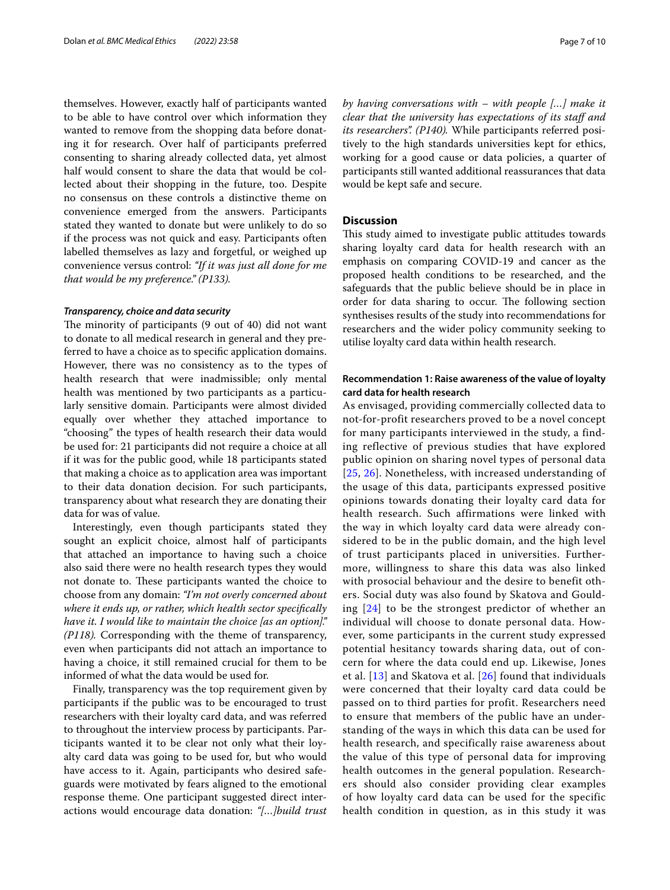themselves. However, exactly half of participants wanted to be able to have control over which information they wanted to remove from the shopping data before donating it for research. Over half of participants preferred consenting to sharing already collected data, yet almost half would consent to share the data that would be collected about their shopping in the future, too. Despite no consensus on these controls a distinctive theme on convenience emerged from the answers. Participants stated they wanted to donate but were unlikely to do so if the process was not quick and easy. Participants often labelled themselves as lazy and forgetful, or weighed up convenience versus control: *"If it was just all done for me that would be my preference." (P133).*

#### *Transparency, choice and data security*

The minority of participants (9 out of 40) did not want to donate to all medical research in general and they preferred to have a choice as to specifc application domains. However, there was no consistency as to the types of health research that were inadmissible; only mental health was mentioned by two participants as a particularly sensitive domain. Participants were almost divided equally over whether they attached importance to "choosing" the types of health research their data would be used for: 21 participants did not require a choice at all if it was for the public good, while 18 participants stated that making a choice as to application area was important to their data donation decision. For such participants, transparency about what research they are donating their data for was of value.

Interestingly, even though participants stated they sought an explicit choice, almost half of participants that attached an importance to having such a choice also said there were no health research types they would not donate to. These participants wanted the choice to choose from any domain: *"I'm not overly concerned about where it ends up, or rather, which health sector specifcally have it. I would like to maintain the choice [as an option]." (P118).* Corresponding with the theme of transparency, even when participants did not attach an importance to having a choice, it still remained crucial for them to be informed of what the data would be used for.

Finally, transparency was the top requirement given by participants if the public was to be encouraged to trust researchers with their loyalty card data, and was referred to throughout the interview process by participants. Participants wanted it to be clear not only what their loyalty card data was going to be used for, but who would have access to it. Again, participants who desired safeguards were motivated by fears aligned to the emotional response theme. One participant suggested direct interactions would encourage data donation: *"[…]build trust*  *by having conversations with – with people […] make it clear that the university has expectations of its staf and its researchers". (P140).* While participants referred positively to the high standards universities kept for ethics, working for a good cause or data policies, a quarter of participants still wanted additional reassurances that data would be kept safe and secure.

## **Discussion**

This study aimed to investigate public attitudes towards sharing loyalty card data for health research with an emphasis on comparing COVID-19 and cancer as the proposed health conditions to be researched, and the safeguards that the public believe should be in place in order for data sharing to occur. The following section synthesises results of the study into recommendations for researchers and the wider policy community seeking to utilise loyalty card data within health research.

## **Recommendation 1: Raise awareness of the value of loyalty card data for health research**

As envisaged, providing commercially collected data to not-for-profit researchers proved to be a novel concept for many participants interviewed in the study, a finding reflective of previous studies that have explored public opinion on sharing novel types of personal data [[25](#page-9-10), [26\]](#page-9-11). Nonetheless, with increased understanding of the usage of this data, participants expressed positive opinions towards donating their loyalty card data for health research. Such affirmations were linked with the way in which loyalty card data were already considered to be in the public domain, and the high level of trust participants placed in universities. Furthermore, willingness to share this data was also linked with prosocial behaviour and the desire to benefit others. Social duty was also found by Skatova and Goulding [[24\]](#page-9-9) to be the strongest predictor of whether an individual will choose to donate personal data. However, some participants in the current study expressed potential hesitancy towards sharing data, out of concern for where the data could end up. Likewise, Jones et al. [\[13\]](#page-9-8) and Skatova et al. [\[26\]](#page-9-11) found that individuals were concerned that their loyalty card data could be passed on to third parties for profit. Researchers need to ensure that members of the public have an understanding of the ways in which this data can be used for health research, and specifically raise awareness about the value of this type of personal data for improving health outcomes in the general population. Researchers should also consider providing clear examples of how loyalty card data can be used for the specific health condition in question, as in this study it was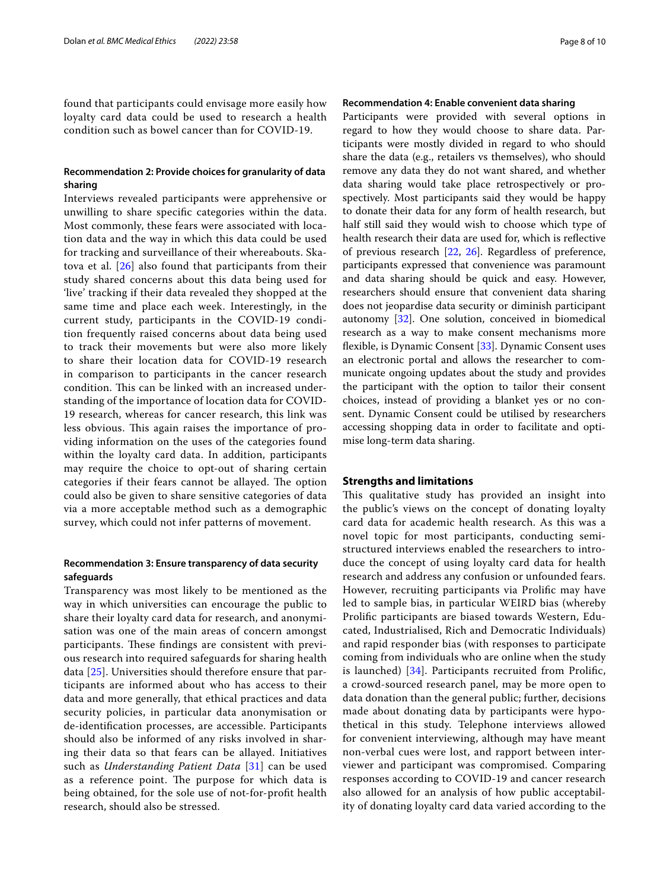found that participants could envisage more easily how loyalty card data could be used to research a health condition such as bowel cancer than for COVID-19.

## **Recommendation 2: Provide choices for granularity of data sharing**

Interviews revealed participants were apprehensive or unwilling to share specifc categories within the data. Most commonly, these fears were associated with location data and the way in which this data could be used for tracking and surveillance of their whereabouts. Skatova et al.  $[26]$  $[26]$  also found that participants from their study shared concerns about this data being used for 'live' tracking if their data revealed they shopped at the same time and place each week. Interestingly, in the current study, participants in the COVID-19 condition frequently raised concerns about data being used to track their movements but were also more likely to share their location data for COVID-19 research in comparison to participants in the cancer research condition. This can be linked with an increased understanding of the importance of location data for COVID-19 research, whereas for cancer research, this link was less obvious. This again raises the importance of providing information on the uses of the categories found within the loyalty card data. In addition, participants may require the choice to opt-out of sharing certain categories if their fears cannot be allayed. The option could also be given to share sensitive categories of data via a more acceptable method such as a demographic survey, which could not infer patterns of movement.

## **Recommendation 3: Ensure transparency of data security safeguards**

Transparency was most likely to be mentioned as the way in which universities can encourage the public to share their loyalty card data for research, and anonymisation was one of the main areas of concern amongst participants. These findings are consistent with previous research into required safeguards for sharing health data [[25\]](#page-9-10). Universities should therefore ensure that participants are informed about who has access to their data and more generally, that ethical practices and data security policies, in particular data anonymisation or de-identifcation processes, are accessible. Participants should also be informed of any risks involved in sharing their data so that fears can be allayed. Initiatives such as *Understanding Patient Data* [\[31](#page-9-17)] can be used as a reference point. The purpose for which data is being obtained, for the sole use of not-for-proft health research, should also be stressed.

## **Recommendation 4: Enable convenient data sharing**

Participants were provided with several options in regard to how they would choose to share data. Participants were mostly divided in regard to who should share the data (e.g., retailers vs themselves), who should remove any data they do not want shared, and whether data sharing would take place retrospectively or prospectively. Most participants said they would be happy to donate their data for any form of health research, but half still said they would wish to choose which type of health research their data are used for, which is refective of previous research [[22,](#page-9-12) [26\]](#page-9-11). Regardless of preference, participants expressed that convenience was paramount and data sharing should be quick and easy. However, researchers should ensure that convenient data sharing does not jeopardise data security or diminish participant autonomy [[32](#page-9-18)]. One solution, conceived in biomedical research as a way to make consent mechanisms more fexible, is Dynamic Consent [\[33\]](#page-9-19). Dynamic Consent uses an electronic portal and allows the researcher to communicate ongoing updates about the study and provides the participant with the option to tailor their consent choices, instead of providing a blanket yes or no consent. Dynamic Consent could be utilised by researchers accessing shopping data in order to facilitate and optimise long-term data sharing.

## **Strengths and limitations**

This qualitative study has provided an insight into the public's views on the concept of donating loyalty card data for academic health research. As this was a novel topic for most participants, conducting semistructured interviews enabled the researchers to introduce the concept of using loyalty card data for health research and address any confusion or unfounded fears. However, recruiting participants via Prolifc may have led to sample bias, in particular WEIRD bias (whereby Prolifc participants are biased towards Western, Educated, Industrialised, Rich and Democratic Individuals) and rapid responder bias (with responses to participate coming from individuals who are online when the study is launched) [\[34](#page-9-20)]. Participants recruited from Prolifc, a crowd-sourced research panel, may be more open to data donation than the general public; further, decisions made about donating data by participants were hypothetical in this study. Telephone interviews allowed for convenient interviewing, although may have meant non-verbal cues were lost, and rapport between interviewer and participant was compromised. Comparing responses according to COVID-19 and cancer research also allowed for an analysis of how public acceptability of donating loyalty card data varied according to the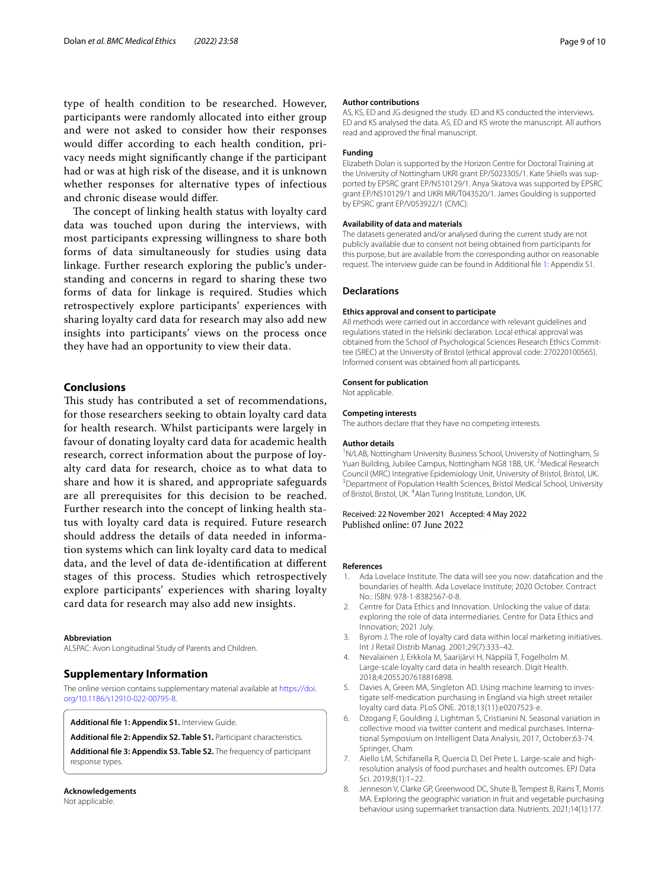type of health condition to be researched. However, participants were randomly allocated into either group and were not asked to consider how their responses would difer according to each health condition, privacy needs might signifcantly change if the participant had or was at high risk of the disease, and it is unknown whether responses for alternative types of infectious and chronic disease would difer.

The concept of linking health status with loyalty card data was touched upon during the interviews, with most participants expressing willingness to share both forms of data simultaneously for studies using data linkage. Further research exploring the public's understanding and concerns in regard to sharing these two forms of data for linkage is required. Studies which retrospectively explore participants' experiences with sharing loyalty card data for research may also add new insights into participants' views on the process once they have had an opportunity to view their data.

## **Conclusions**

This study has contributed a set of recommendations, for those researchers seeking to obtain loyalty card data for health research. Whilst participants were largely in favour of donating loyalty card data for academic health research, correct information about the purpose of loyalty card data for research, choice as to what data to share and how it is shared, and appropriate safeguards are all prerequisites for this decision to be reached. Further research into the concept of linking health status with loyalty card data is required. Future research should address the details of data needed in information systems which can link loyalty card data to medical data, and the level of data de-identifcation at diferent stages of this process. Studies which retrospectively explore participants' experiences with sharing loyalty card data for research may also add new insights.

#### **Abbreviation**

ALSPAC: Avon Longitudinal Study of Parents and Children.

## **Supplementary Information**

The online version contains supplementary material available at [https://doi.](https://doi.org/10.1186/s12910-022-00795-8) [org/10.1186/s12910-022-00795-8](https://doi.org/10.1186/s12910-022-00795-8).

<span id="page-8-8"></span>**Additional fle 1: Appendix S1.** Interview Guide.

**Additional fle 2: Appendix S2. Table S1.** Participant characteristics.

**Additional fle 3: Appendix S3. Table S2.** The frequency of participant response types.

# **Acknowledgements**

Not applicable.

#### **Author contributions**

AS, KS, ED and JG designed the study. ED and KS conducted the interviews. ED and KS analysed the data. AS, ED and KS wrote the manuscript. All authors read and approved the fnal manuscript.

#### **Funding**

Elizabeth Dolan is supported by the Horizon Centre for Doctoral Training at the University of Nottingham UKRI grant EP/S023305/1. Kate Shiells was supported by EPSRC grant EP/N510129/1. Anya Skatova was supported by EPSRC grant EP/N510129/1 and UKRI MR/T043520/1. James Goulding is supported by EPSRC grant EP/V053922/1 (CIVIC).

#### **Availability of data and materials**

The datasets generated and/or analysed during the current study are not publicly available due to consent not being obtained from participants for this purpose, but are available from the corresponding author on reasonable request. The interview guide can be found in Additional fle [1:](#page-8-8) Appendix S1.

#### **Declarations**

#### **Ethics approval and consent to participate**

All methods were carried out in accordance with relevant guidelines and regulations stated in the Helsinki declaration. Local ethical approval was obtained from the School of Psychological Sciences Research Ethics Committee (SREC) at the University of Bristol (ethical approval code: 270220100565). Informed consent was obtained from all participants.

#### **Consent for publication**

Not applicable.

#### **Competing interests**

The authors declare that they have no competing interests.

#### **Author details**

<sup>1</sup>N/LAB, Nottingham University Business School, University of Nottingham, Si Yuan Building, Jubilee Campus, Nottingham NG8 1BB, UK.<sup>2</sup> Medical Research Council (MRC) Integrative Epidemiology Unit, University of Bristol, Bristol, UK. 3 <sup>3</sup> Department of Population Health Sciences, Bristol Medical School, University of Bristol, Bristol, UK. <sup>4</sup> Alan Turing Institute, London, UK.

Received: 22 November 2021 Accepted: 4 May 2022 Published online: 07 June 2022

#### **References**

- <span id="page-8-0"></span>1. Ada Lovelace Institute. The data will see you now: datafcation and the boundaries of health. Ada Lovelace Institute; 2020 October. Contract No.: ISBN: 978-1-8382567-0-8.
- <span id="page-8-1"></span>2. Centre for Data Ethics and Innovation. Unlocking the value of data: exploring the role of data intermediaries. Centre for Data Ethics and Innovation; 2021 July.
- <span id="page-8-2"></span>Byrom J. The role of loyalty card data within local marketing initiatives. Int J Retail Distrib Manag. 2001;29(7):333–42.
- <span id="page-8-3"></span>4. Nevalainen J, Erkkola M, Saarijärvi H, Näppilä T, Fogelholm M. Large-scale loyalty card data in health research. Digit Health. 2018;4:2055207618816898.
- <span id="page-8-4"></span>5. Davies A, Green MA, Singleton AD. Using machine learning to investigate self-medication purchasing in England via high street retailer loyalty card data. PLoS ONE. 2018;13(11):e0207523-e.
- <span id="page-8-10"></span><span id="page-8-9"></span><span id="page-8-5"></span>6. Dzogang F, Goulding J, Lightman S, Cristianini N. Seasonal variation in collective mood via twitter content and medical purchases. International Symposium on Intelligent Data Analysis, 2017, October;63-74. Springer, Cham
- <span id="page-8-6"></span>7. Aiello LM, Schifanella R, Quercia D, Del Prete L. Large-scale and highresolution analysis of food purchases and health outcomes. EPJ Data Sci. 2019;8(1):1–22.
- <span id="page-8-7"></span>8. Jenneson V, Clarke GP, Greenwood DC, Shute B, Tempest B, Rains T, Morris MA. Exploring the geographic variation in fruit and vegetable purchasing behaviour using supermarket transaction data. Nutrients. 2021;14(1):177.